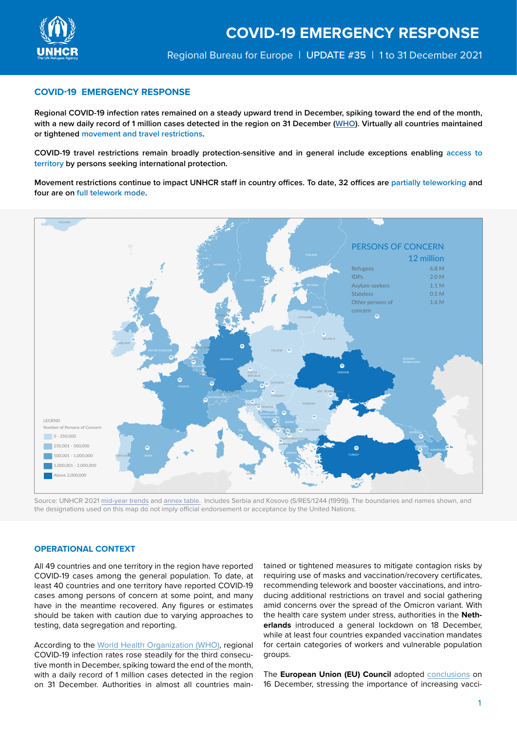

# **COVID-19 EMERGENCY RESPONSE**

**Regional COVID-19 infection rates remained on a steady upward trend in December, spiking toward the end of the month, with a new daily record of 1 million cases detected in the region on 31 December [\(WHO](https://who.maps.arcgis.com/apps/dashboards/ead3c6475654481ca51c248d52ab9c61)). Virtually all countries maintained or tightened movement and travel restrictions.** 

**COVID-19 travel restrictions remain broadly protection-sensitive and in general include exceptions enabling access to territory by persons seeking international protection.**

**Movement restrictions continue to impact UNHCR staff in country offices. To date, 32 offices are partially teleworking and four are on full telework mode.** 



Source: UNHCR 2021 [mid-year trends](https://www.unhcr.org/mid-year-trends) and [annex table.](https://www.unhcr.org/statistics/2021MYTannex.zip) Includes Serbia and Kosovo (S/RES/1244 (1999)). The boundaries and names shown, and the designations used on this map do not imply official endorsement or acceptance by the United Nations.

# **OPERATIONAL CONTEXT**

All 49 countries and one territory in the region have reported COVID-19 cases among the general population. To date, at least 40 countries and one territory have reported COVID-19 cases among persons of concern at some point, and many have in the meantime recovered. Any figures or estimates should be taken with caution due to varying approaches to testing, data segregation and reporting.

According to the [World Health Organization \(WHO\),](https://who.maps.arcgis.com/apps/dashboards/ead3c6475654481ca51c248d52ab9c61) regional COVID-19 infection rates rose steadily for the third consecutive month in December, spiking toward the end of the month, with a daily record of 1 million cases detected in the region on 31 December. Authorities in almost all countries maintained or tightened measures to mitigate contagion risks by requiring use of masks and vaccination/recovery certificates, recommending telework and booster vaccinations, and introducing additional restrictions on travel and social gathering amid concerns over the spread of the Omicron variant. With the health care system under stress, authorities in the **Netherlands** introduced a general lockdown on 18 December, while at least four countries expanded vaccination mandates for certain categories of workers and vulnerable population groups.

The **European Union (EU) Council** adopted [conclusions](https://www.consilium.europa.eu/en/meetings/european-council/2021/12/16/) on 16 December, stressing the importance of increasing vacci-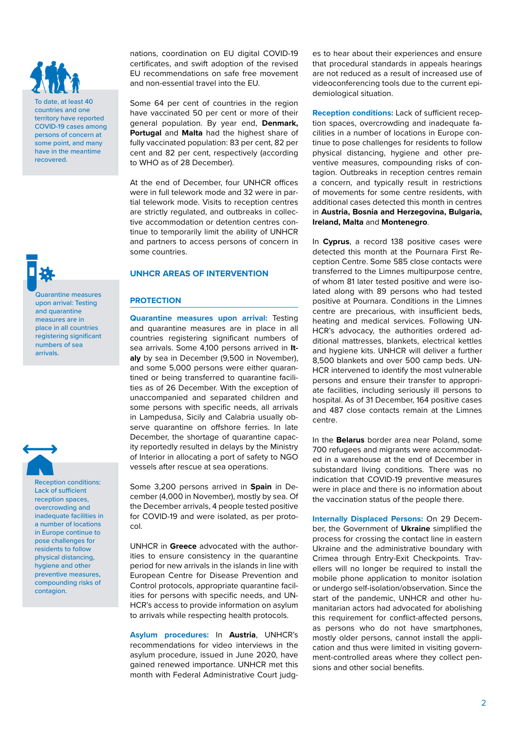To date, at least 40 countries and one territory have reported COVID-19 cases among persons of concern at some point, and many have in the meantime recovered.

Quarantine measures upon arrival: Testing and quarantine measures are in place in all countries registering significant numbers of sea arrivals.



Reception conditions: Lack of sufficient reception spaces, overcrowding and inadequate facilities in a number of locations in Europe continue to pose challenges for residents to follow physical distancing, hygiene and other preventive measures, compounding risks of contagion.

nations, coordination on EU digital COVID-19 certificates, and swift adoption of the revised EU recommendations on safe free movement and non-essential travel into the EU.

Some 64 per cent of countries in the region have vaccinated 50 per cent or more of their general population. By year end, **Denmark, Portugal** and **Malta** had the highest share of fully vaccinated population: 83 per cent, 82 per cent and 82 per cent, respectively (according to WHO as of 28 December).

At the end of December, four UNHCR offices were in full telework mode and 32 were in partial telework mode. Visits to reception centres are strictly regulated, and outbreaks in collective accommodation or detention centres continue to temporarily limit the ability of UNHCR and partners to access persons of concern in some countries.

# **UNHCR AREAS OF INTERVENTION**

# **PROTECTION**

**Quarantine measures upon arrival:** Testing and quarantine measures are in place in all countries registering significant numbers of sea arrivals. Some 4,100 persons arrived in **Italy** by sea in December (9,500 in November), and some 5,000 persons were either quarantined or being transferred to quarantine facilities as of 26 December. With the exception of unaccompanied and separated children and some persons with specific needs, all arrivals in Lampedusa, Sicily and Calabria usually observe quarantine on offshore ferries. In late December, the shortage of quarantine capacity reportedly resulted in delays by the Ministry of Interior in allocating a port of safety to NGO vessels after rescue at sea operations.

Some 3,200 persons arrived in **Spain** in December (4,000 in November), mostly by sea. Of the December arrivals, 4 people tested positive for COVID-19 and were isolated, as per protocol.

UNHCR in **Greece** advocated with the authorities to ensure consistency in the quarantine period for new arrivals in the islands in line with European Centre for Disease Prevention and Control protocols, appropriate quarantine facilities for persons with specific needs, and UN-HCR's access to provide information on asylum to arrivals while respecting health protocols.

**Asylum procedures:** In **Austria**, UNHCR's recommendations for video interviews in the asylum procedure, issued in June 2020, have gained renewed importance. UNHCR met this month with Federal Administrative Court judg-

es to hear about their experiences and ensure that procedural standards in appeals hearings are not reduced as a result of increased use of videoconferencing tools due to the current epidemiological situation.

**Reception conditions:** Lack of sufficient reception spaces, overcrowding and inadequate facilities in a number of locations in Europe continue to pose challenges for residents to follow physical distancing, hygiene and other preventive measures, compounding risks of contagion. Outbreaks in reception centres remain a concern, and typically result in restrictions of movements for some centre residents, with additional cases detected this month in centres in **Austria, Bosnia and Herzegovina, Bulgaria, Ireland, Malta** and **Montenegro**.

In **Cyprus**, a record 138 positive cases were detected this month at the Pournara First Reception Centre. Some 585 close contacts were transferred to the Limnes multipurpose centre, of whom 81 later tested positive and were isolated along with 89 persons who had tested positive at Pournara. Conditions in the Limnes centre are precarious, with insufficient beds, heating and medical services. Following UN-HCR's advocacy, the authorities ordered additional mattresses, blankets, electrical kettles and hygiene kits. UNHCR will deliver a further 8,500 blankets and over 500 camp beds. UN-HCR intervened to identify the most vulnerable persons and ensure their transfer to appropriate facilities, including seriously ill persons to hospital. As of 31 December, 164 positive cases and 487 close contacts remain at the Limnes centre.

In the **Belarus** border area near Poland, some 700 refugees and migrants were accommodated in a warehouse at the end of December in substandard living conditions. There was no indication that COVID-19 preventive measures were in place and there is no information about the vaccination status of the people there.

**Internally Displaced Persons:** On 29 December, the Government of **Ukraine** simplified the process for crossing the contact line in eastern Ukraine and the administrative boundary with Crimea through Entry-Exit Checkpoints. Travellers will no longer be required to install the mobile phone application to monitor isolation or undergo self-isolation/observation. Since the start of the pandemic, UNHCR and other humanitarian actors had advocated for abolishing this requirement for conflict-affected persons, as persons who do not have smartphones, mostly older persons, cannot install the application and thus were limited in visiting government-controlled areas where they collect pensions and other social benefits.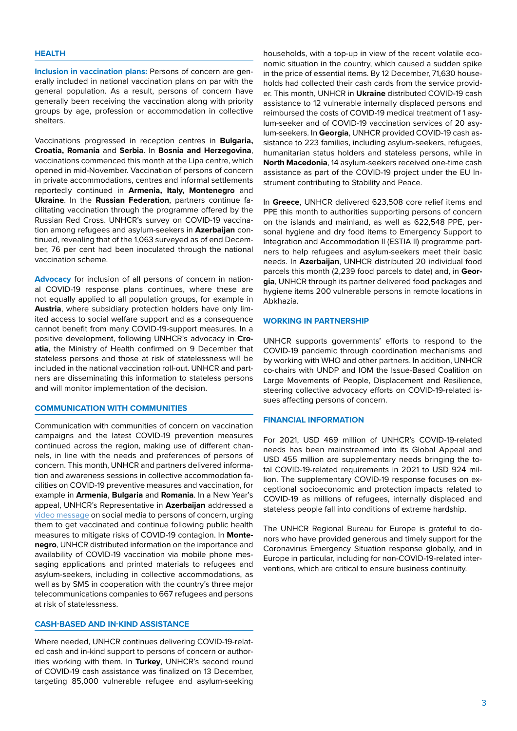## **HEALTH**

**Inclusion in vaccination plans:** Persons of concern are generally included in national vaccination plans on par with the general population. As a result, persons of concern have generally been receiving the vaccination along with priority groups by age, profession or accommodation in collective shelters.

Vaccinations progressed in reception centres in **Bulgaria, Croatia, Romania** and **Serbia**. In **Bosnia and Herzegovina**, vaccinations commenced this month at the Lipa centre, which opened in mid-November. Vaccination of persons of concern in private accommodations, centres and informal settlements reportedly continued in **Armenia, Italy, Montenegro** and **Ukraine**. In the **Russian Federation**, partners continue facilitating vaccination through the programme offered by the Russian Red Cross. UNHCR's survey on COVID-19 vaccination among refugees and asylum-seekers in **Azerbaijan** continued, revealing that of the 1,063 surveyed as of end December, 76 per cent had been inoculated through the national vaccination scheme.

**Advocacy** for inclusion of all persons of concern in national COVID-19 response plans continues, where these are not equally applied to all population groups, for example in **Austria**, where subsidiary protection holders have only limited access to social welfare support and as a consequence cannot benefit from many COVID-19-support measures. In a positive development, following UNHCR's advocacy in **Croatia**, the Ministry of Health confirmed on 9 December that stateless persons and those at risk of statelessness will be included in the national vaccination roll-out. UNHCR and partners are disseminating this information to stateless persons and will monitor implementation of the decision.

## **COMMUNICATION WITH COMMUNITIES**

Communication with communities of concern on vaccination campaigns and the latest COVID-19 prevention measures continued across the region, making use of different channels, in line with the needs and preferences of persons of concern. This month, UNHCR and partners delivered information and awareness sessions in collective accommodation facilities on COVID-19 preventive measures and vaccination, for example in **Armenia**, **Bulgaria** and **Romania**. In a New Year's appeal, UNHCR's Representative in **Azerbaijan** addressed a [video message](https://www.facebook.com/watch/?v=628024638522550) on social media to persons of concern, urging them to get vaccinated and continue following public health measures to mitigate risks of COVID-19 contagion. In **Montenegro**, UNHCR distributed information on the importance and availability of COVID-19 vaccination via mobile phone messaging applications and printed materials to refugees and asylum-seekers, including in collective accommodations, as well as by SMS in cooperation with the country's three major telecommunications companies to 667 refugees and persons at risk of statelessness.

# **CASH-BASED AND IN-KIND ASSISTANCE**

Where needed, UNHCR continues delivering COVID-19-related cash and in-kind support to persons of concern or authorities working with them. In **Turkey**, UNHCR's second round of COVID-19 cash assistance was finalized on 13 December, targeting 85,000 vulnerable refugee and asylum-seeking households, with a top-up in view of the recent volatile economic situation in the country, which caused a sudden spike in the price of essential items. By 12 December, 71,630 households had collected their cash cards from the service provider. This month, UNHCR in **Ukraine** distributed COVID-19 cash assistance to 12 vulnerable internally displaced persons and reimbursed the costs of COVID-19 medical treatment of 1 asylum-seeker and of COVID-19 vaccination services of 20 asylum-seekers. In **Georgia**, UNHCR provided COVID-19 cash assistance to 223 families, including asylum-seekers, refugees, humanitarian status holders and stateless persons, while in **North Macedonia**, 14 asylum-seekers received one-time cash assistance as part of the COVID-19 project under the EU Instrument contributing to Stability and Peace.

In **Greece**, UNHCR delivered 623,508 core relief items and PPE this month to authorities supporting persons of concern on the islands and mainland, as well as 622,548 PPE, personal hygiene and dry food items to Emergency Support to Integration and Accommodation II (ESTIA II) programme partners to help refugees and asylum-seekers meet their basic needs. In **Azerbaijan**, UNHCR distributed 20 individual food parcels this month (2,239 food parcels to date) and, in **Georgia**, UNHCR through its partner delivered food packages and hygiene items 200 vulnerable persons in remote locations in Abkhazia.

## **WORKING IN PARTNERSHIP**

UNHCR supports governments' efforts to respond to the COVID-19 pandemic through coordination mechanisms and by working with WHO and other partners. In addition, UNHCR co-chairs with UNDP and IOM the Issue-Based Coalition on Large Movements of People, Displacement and Resilience, steering collective advocacy efforts on COVID-19-related issues affecting persons of concern.

### **FINANCIAL INFORMATION**

For 2021, USD 469 million of UNHCR's COVID-19-related needs has been mainstreamed into its Global Appeal and USD 455 million are supplementary needs bringing the total COVID-19-related requirements in 2021 to USD 924 million. The supplementary COVID-19 response focuses on exceptional socioeconomic and protection impacts related to COVID-19 as millions of refugees, internally displaced and stateless people fall into conditions of extreme hardship.

The UNHCR Regional Bureau for Europe is grateful to donors who have provided generous and timely support for the Coronavirus Emergency Situation response globally, and in Europe in particular, including for non-COVID-19-related interventions, which are critical to ensure business continuity.